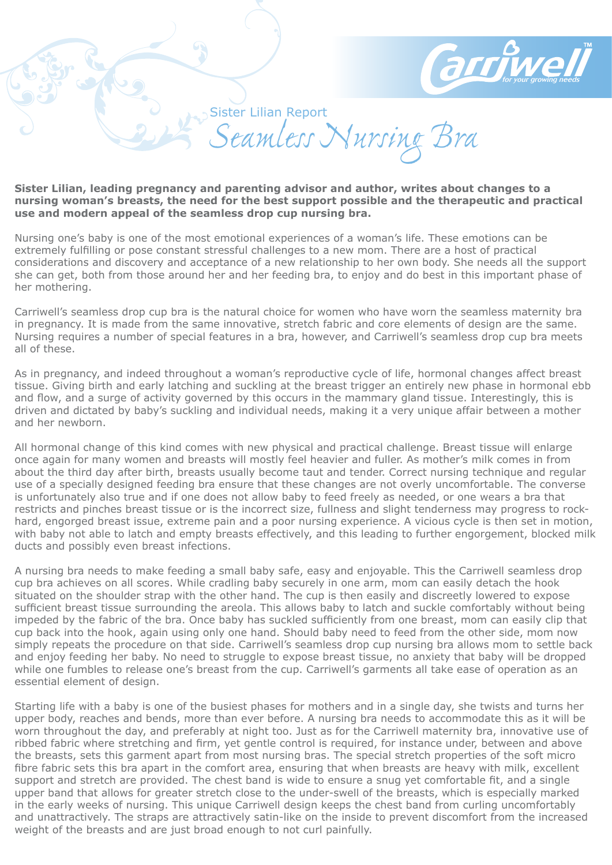

Sister Lilian Report *Seamless Nursing Bra*

## **Sister Lilian, leading pregnancy and parenting advisor and author, writes about changes to a nursing woman's breasts, the need for the best support possible and the therapeutic and practical use and modern appeal of the seamless drop cup nursing bra.**

Nursing one's baby is one of the most emotional experiences of a woman's life. These emotions can be extremely fulfilling or pose constant stressful challenges to a new mom. There are a host of practical considerations and discovery and acceptance of a new relationship to her own body. She needs all the support she can get, both from those around her and her feeding bra, to enjoy and do best in this important phase of her mothering.

Carriwell's seamless drop cup bra is the natural choice for women who have worn the seamless maternity bra in pregnancy. It is made from the same innovative, stretch fabric and core elements of design are the same. Nursing requires a number of special features in a bra, however, and Carriwell's seamless drop cup bra meets all of these.

As in pregnancy, and indeed throughout a woman's reproductive cycle of life, hormonal changes affect breast tissue. Giving birth and early latching and suckling at the breast trigger an entirely new phase in hormonal ebb and flow, and a surge of activity governed by this occurs in the mammary gland tissue. Interestingly, this is driven and dictated by baby's suckling and individual needs, making it a very unique affair between a mother and her newborn.

All hormonal change of this kind comes with new physical and practical challenge. Breast tissue will enlarge once again for many women and breasts will mostly feel heavier and fuller. As mother's milk comes in from about the third day after birth, breasts usually become taut and tender. Correct nursing technique and regular use of a specially designed feeding bra ensure that these changes are not overly uncomfortable. The converse is unfortunately also true and if one does not allow baby to feed freely as needed, or one wears a bra that restricts and pinches breast tissue or is the incorrect size, fullness and slight tenderness may progress to rockhard, engorged breast issue, extreme pain and a poor nursing experience. A vicious cycle is then set in motion, with baby not able to latch and empty breasts effectively, and this leading to further engorgement, blocked milk ducts and possibly even breast infections.

A nursing bra needs to make feeding a small baby safe, easy and enjoyable. This the Carriwell seamless drop cup bra achieves on all scores. While cradling baby securely in one arm, mom can easily detach the hook situated on the shoulder strap with the other hand. The cup is then easily and discreetly lowered to expose sufficient breast tissue surrounding the areola. This allows baby to latch and suckle comfortably without being impeded by the fabric of the bra. Once baby has suckled sufficiently from one breast, mom can easily clip that cup back into the hook, again using only one hand. Should baby need to feed from the other side, mom now simply repeats the procedure on that side. Carriwell's seamless drop cup nursing bra allows mom to settle back and enjoy feeding her baby. No need to struggle to expose breast tissue, no anxiety that baby will be dropped while one fumbles to release one's breast from the cup. Carriwell's garments all take ease of operation as an essential element of design.

Starting life with a baby is one of the busiest phases for mothers and in a single day, she twists and turns her upper body, reaches and bends, more than ever before. A nursing bra needs to accommodate this as it will be worn throughout the day, and preferably at night too. Just as for the Carriwell maternity bra, innovative use of ribbed fabric where stretching and firm, yet gentle control is required, for instance under, between and above the breasts, sets this garment apart from most nursing bras. The special stretch properties of the soft micro fibre fabric sets this bra apart in the comfort area, ensuring that when breasts are heavy with milk, excellent support and stretch are provided. The chest band is wide to ensure a snug yet comfortable fit, and a single upper band that allows for greater stretch close to the under-swell of the breasts, which is especially marked in the early weeks of nursing. This unique Carriwell design keeps the chest band from curling uncomfortably and unattractively. The straps are attractively satin-like on the inside to prevent discomfort from the increased weight of the breasts and are just broad enough to not curl painfully.